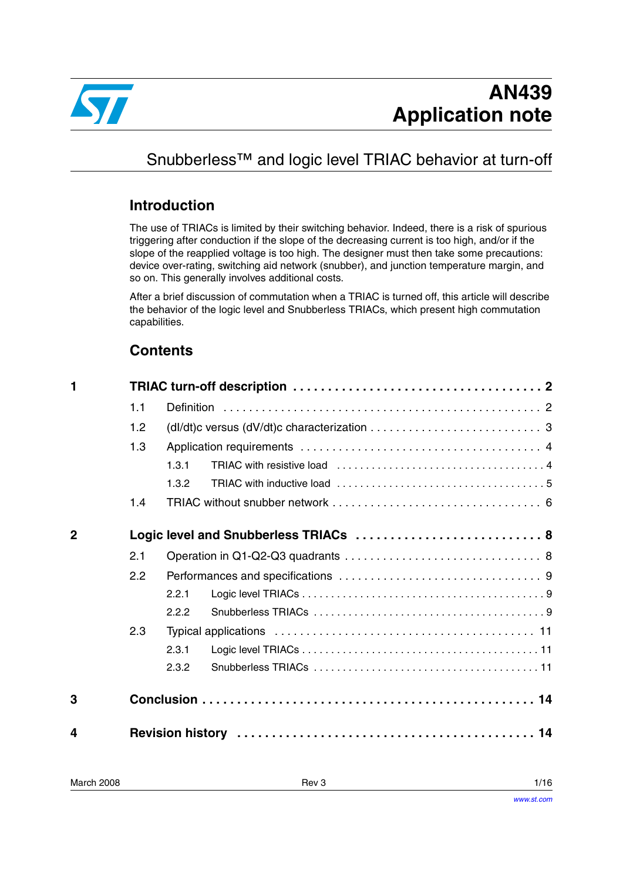

# Snubberless<sup>™</sup> and logic level TRIAC behavior at turn-off

### **Introduction**

The use of TRIACs is limited by their switching behavior. Indeed, there is a risk of spurious triggering after conduction if the slope of the decreasing current is too high, and/or if the slope of the reapplied voltage is too high. The designer must then take some precautions: device over-rating, switching aid network (snubber), and junction temperature margin, and so on. This generally involves additional costs.

After a brief discussion of commutation when a TRIAC is turned off, this article will describe the behavior of the logic level and Snubberless TRIACs, which present high commutation capabilities.

### **Contents**

| 1              |     |                                                                                                     |  |  |  |  |  |
|----------------|-----|-----------------------------------------------------------------------------------------------------|--|--|--|--|--|
|                | 1.1 |                                                                                                     |  |  |  |  |  |
|                | 1.2 | (dl/dt)c versus (dV/dt)c characterization $\ldots \ldots \ldots \ldots \ldots \ldots \ldots \ldots$ |  |  |  |  |  |
|                | 1.3 |                                                                                                     |  |  |  |  |  |
|                |     | 1.3.1                                                                                               |  |  |  |  |  |
|                |     | 1.3.2                                                                                               |  |  |  |  |  |
|                | 1.4 |                                                                                                     |  |  |  |  |  |
| $\overline{2}$ |     | Logic level and Snubberless TRIACs  8                                                               |  |  |  |  |  |
|                | 2.1 |                                                                                                     |  |  |  |  |  |
|                | 2.2 |                                                                                                     |  |  |  |  |  |
|                |     | 2.2.1                                                                                               |  |  |  |  |  |
|                |     | 2.2.2                                                                                               |  |  |  |  |  |
|                | 2.3 |                                                                                                     |  |  |  |  |  |
|                |     | 2.3.1                                                                                               |  |  |  |  |  |
|                |     | 2.3.2                                                                                               |  |  |  |  |  |
| 3              |     |                                                                                                     |  |  |  |  |  |
| 4              |     |                                                                                                     |  |  |  |  |  |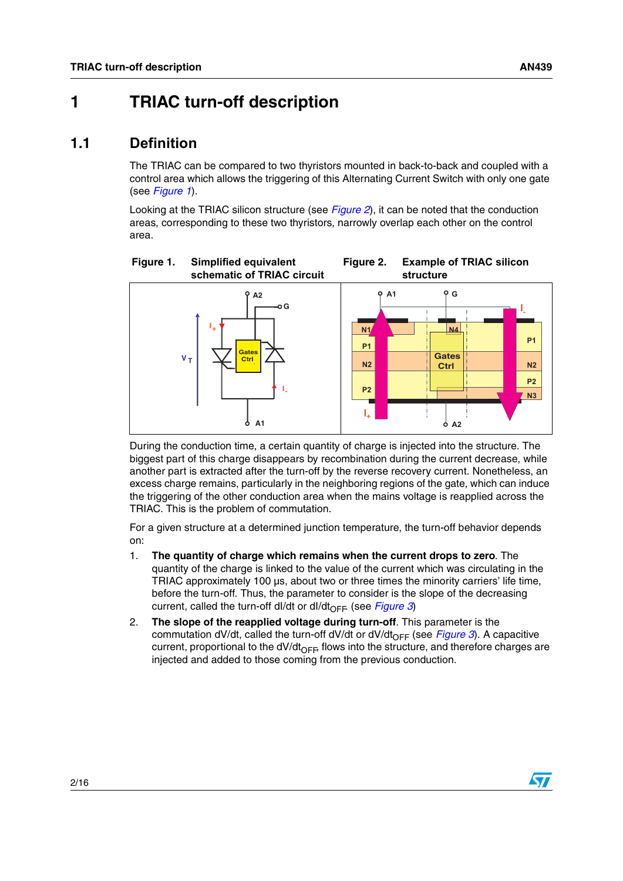# <span id="page-1-0"></span>**1 TRIAC turn-off description**

### <span id="page-1-1"></span>**1.1 Definition**

The TRIAC can be compared to two thyristors mounted in back-to-back and coupled with a control area which allows the triggering of this Alternating Current Switch with only one gate (see *[Figure 1](#page-1-2)*).

<span id="page-1-3"></span>Looking at the TRIAC silicon structure (see *[Figure 2](#page-1-3)*), it can be noted that the conduction areas, corresponding to these two thyristors, narrowly overlap each other on the control area.

<span id="page-1-2"></span>

During the conduction time, a certain quantity of charge is injected into the structure. The biggest part of this charge disappears by recombination during the current decrease, while another part is extracted after the turn-off by the reverse recovery current. Nonetheless, an excess charge remains, particularly in the neighboring regions of the gate, which can induce the triggering of the other conduction area when the mains voltage is reapplied across the TRIAC. This is the problem of commutation.

For a given structure at a determined junction temperature, the turn-off behavior depends on:

- 1. **The quantity of charge which remains when the current drops to zero**. The quantity of the charge is linked to the value of the current which was circulating in the TRIAC approximately 100 µs, about two or three times the minority carriers' life time, before the turn-off. Thus, the parameter to consider is the slope of the decreasing current, called the turn-off dl/dt or dl/dt<sub>OFF</sub> (see *[Figure 3](#page-2-1)*)
- 2. **The slope of the reapplied voltage during turn-off**. This parameter is the commutation dV/dt, called the turn-off dV/dt or dV/dt<sub>OFF</sub> (see *[Figure 3](#page-2-1)*). A capacitive current, proportional to the dV/dt<sub>OFF</sub>, flows into the structure, and therefore charges are injected and added to those coming from the previous conduction.

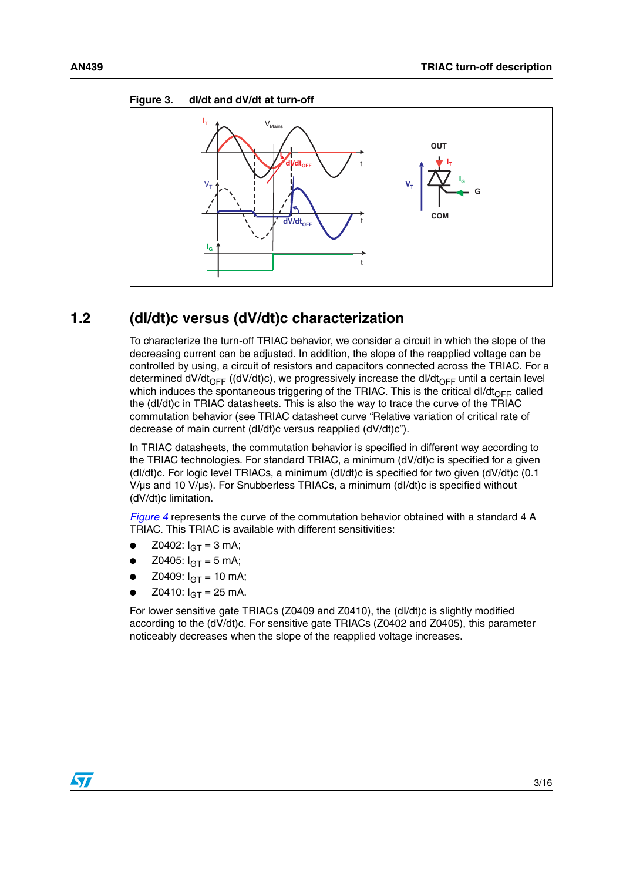

#### <span id="page-2-1"></span>**Figure 3. dI/dt and dV/dt at turn-off**

### <span id="page-2-0"></span>**1.2 (dI/dt)c versus (dV/dt)c characterization**

To characterize the turn-off TRIAC behavior, we consider a circuit in which the slope of the decreasing current can be adjusted. In addition, the slope of the reapplied voltage can be controlled by using, a circuit of resistors and capacitors connected across the TRIAC. For a determined dV/dt<sub>OFF</sub> ((dV/dt)c), we progressively increase the dl/dt<sub>OFF</sub> until a certain level which induces the spontaneous triggering of the TRIAC. This is the critical dl/dt<sub>OFF</sub>, called the (dI/dt)c in TRIAC datasheets. This is also the way to trace the curve of the TRIAC commutation behavior (see TRIAC datasheet curve "Relative variation of critical rate of decrease of main current (dI/dt)c versus reapplied (dV/dt)c").

In TRIAC datasheets, the commutation behavior is specified in different way according to the TRIAC technologies. For standard TRIAC, a minimum (dV/dt)c is specified for a given (dI/dt)c. For logic level TRIACs, a minimum (dI/dt)c is specified for two given (dV/dt)c (0.1 V/µs and 10 V/µs). For Snubberless TRIACs, a minimum (dI/dt)c is specified without (dV/dt)c limitation.

*[Figure 4](#page-3-2)* represents the curve of the commutation behavior obtained with a standard 4 A TRIAC. This TRIAC is available with different sensitivities:

- Z0402:  $I_{GT} = 3$  mA;
- Z0405:  $I_{GT} = 5$  mA;
- Z0409:  $I_{GT} = 10$  mA;
- Z0410:  $I_{\text{GT}} = 25 \text{ mA}$ .

For lower sensitive gate TRIACs (Z0409 and Z0410), the (dI/dt)c is slightly modified according to the (dV/dt)c. For sensitive gate TRIACs (Z0402 and Z0405), this parameter noticeably decreases when the slope of the reapplied voltage increases.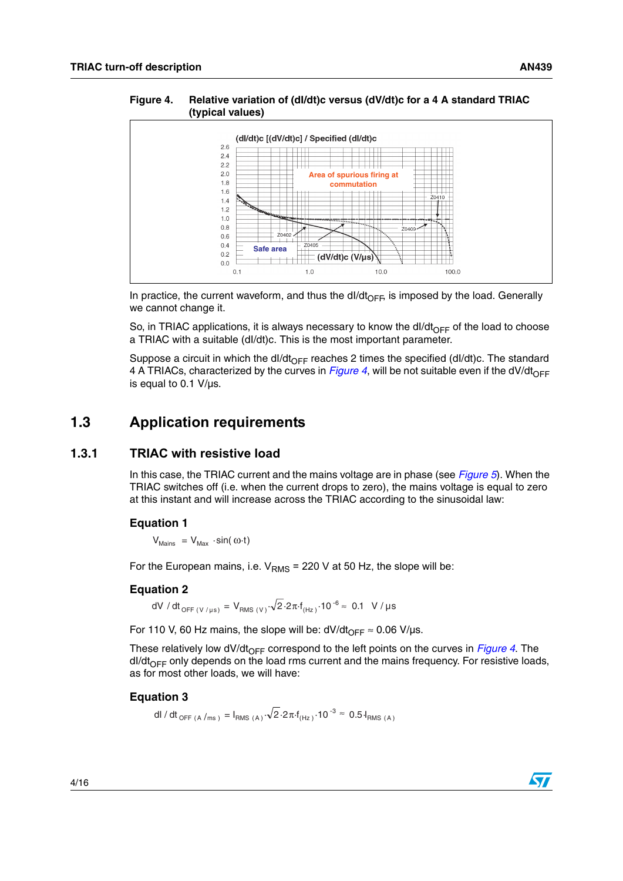<span id="page-3-2"></span>**Figure 4. Relative variation of (dI/dt)c versus (dV/dt)c for a 4 A standard TRIAC (typical values)**



In practice, the current waveform, and thus the dI/dt<sub>OFF</sub>, is imposed by the load. Generally we cannot change it.

So, in TRIAC applications, it is always necessary to know the dl/dt<sub>OFF</sub> of the load to choose a TRIAC with a suitable (dI/dt)c. This is the most important parameter.

Suppose a circuit in which the dl/dt<sub>OFF</sub> reaches 2 times the specified (dl/dt)c. The standard 4 A TRIACs, characterized by the curves in *[Figure 4](#page-3-2)*, will be not suitable even if the dV/dt<sub>OFF</sub> is equal to 0.1 V/µs.

### <span id="page-3-0"></span>**1.3 Application requirements**

#### <span id="page-3-1"></span>**1.3.1 TRIAC with resistive load**

In this case, the TRIAC current and the mains voltage are in phase (see *[Figure 5](#page-4-1)*). When the TRIAC switches off (i.e. when the current drops to zero), the mains voltage is equal to zero at this instant and will increase across the TRIAC according to the sinusoidal law:

#### **Equation 1**

 $V_{\text{Mains}} = V_{\text{Max}} \cdot \sin(\omega \cdot t)$ 

For the European mains, i.e.  $V<sub>RMS</sub> = 220 V$  at 50 Hz, the slope will be:

#### **Equation 2**

dV / dt $_{\mathsf{OFF}\,(\mathsf{V}\,/\,\mathsf{\mu s})}$  =  $\mathsf{V}_{\mathsf{RMS}\,(\mathsf{V})}\!\cdot\!\sqrt{2\!\cdot\!2\pi\!\cdot\! \mathsf{f}_{(\mathsf{Hz})}\!\cdot\!10^{-6}}\!\approx\,0.1~\,$  V /  $\mathsf{\mu s}$ 

For 110 V, 60 Hz mains, the slope will be:  $dV/dt_{OFF} \approx 0.06$  V/ $\mu$ s.

These relatively low dV/dt<sub>OFF</sub> correspond to the left points on the curves in *[Figure 4](#page-3-2)*. The  $dI/dt_{\text{OFF}}$  only depends on the load rms current and the mains frequency. For resistive loads, as for most other loads, we will have:

#### <span id="page-3-3"></span>**Equation 3**

dl / dt <sub>OFF (A /ms )</sub> = I<sub>RMS (A)</sub>  $\sqrt{2.2\pi f_{\text{(Hz)}} \cdot 10^{-3}} \approx 0.5 I_{\text{RMS (A)}}$ 

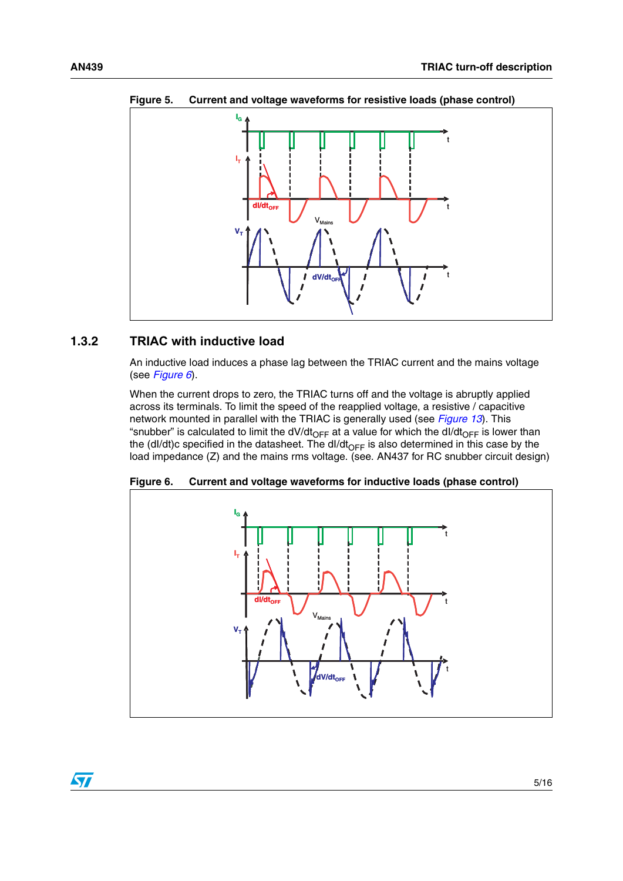

<span id="page-4-1"></span>**Figure 5. Current and voltage waveforms for resistive loads (phase control)**

#### <span id="page-4-0"></span>**1.3.2 TRIAC with inductive load**

An inductive load induces a phase lag between the TRIAC current and the mains voltage (see *[Figure 6](#page-4-2)*).

When the current drops to zero, the TRIAC turns off and the voltage is abruptly applied across its terminals. To limit the speed of the reapplied voltage, a resistive / capacitive network mounted in parallel with the TRIAC is generally used (see *[Figure 13](#page-12-0)*). This "snubber" is calculated to limit the dV/dt<sub>OFF</sub> at a value for which the dI/dt<sub>OFF</sub> is lower than the (dl/dt)c specified in the datasheet. The dl/dt<sub>OFF</sub> is also determined in this case by the load impedance (Z) and the mains rms voltage. (see. AN437 for RC snubber circuit design)



<span id="page-4-2"></span>**Figure 6. Current and voltage waveforms for inductive loads (phase control)**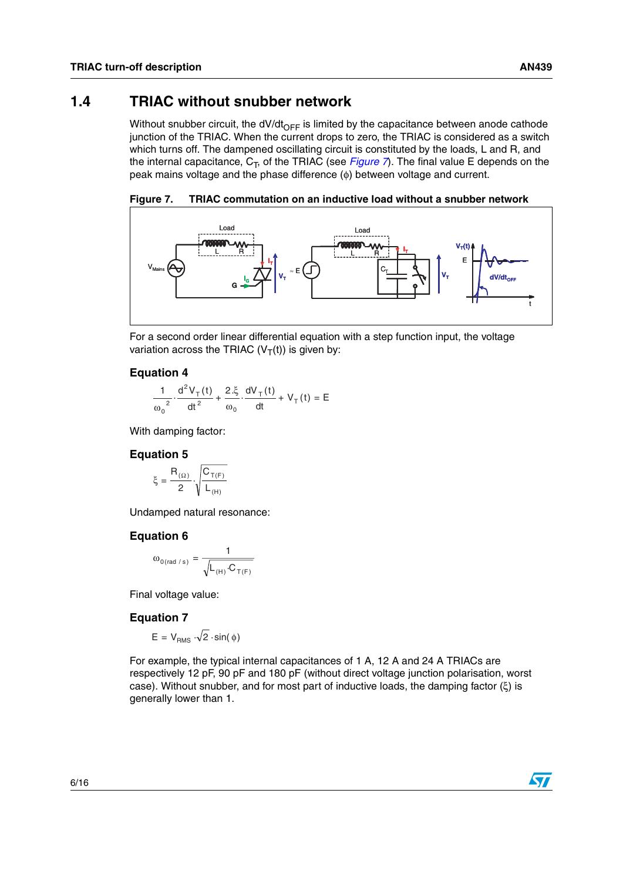<span id="page-5-0"></span>Without snubber circuit, the dV/dt<sub>OFF</sub> is limited by the capacitance between anode cathode junction of the TRIAC. When the current drops to zero, the TRIAC is considered as a switch which turns off. The dampened oscillating circuit is constituted by the loads, L and R, and the internal capacitance,  $C_T$ , of the TRIAC (see *[Figure 7](#page-5-1)*). The final value E depends on the peak mains voltage and the phase difference (φ) between voltage and current.

<span id="page-5-1"></span>**Figure 7. TRIAC commutation on an inductive load without a snubber network**



For a second order linear differential equation with a step function input, the voltage variation across the TRIAC  $(V_T(t))$  is given by:

#### **Equation 4**

$$
\frac{1}{\omega_0^2} \cdot \frac{d^2 V_T(t)}{dt^2} + \frac{2 \cdot \xi}{\omega_0} \cdot \frac{dV_T(t)}{dt} + V_T(t) = E
$$

With damping factor:

#### **Equation 5**

$$
\xi = \frac{R_{(\Omega)}}{2} \cdot \sqrt{\frac{C_{T(F)}}{L_{(H)}}}
$$

Undamped natural resonance:

#### **Equation 6**

$$
\omega_{0(\text{rad/s})} = \frac{1}{\sqrt{L_{(H)} \cdot C_{T(F)}}}
$$

Final voltage value:

#### **Equation 7**

$$
E = V_{RMS} \cdot \sqrt{2} \cdot \sin(\phi)
$$

For example, the typical internal capacitances of 1 A, 12 A and 24 A TRIACs are respectively 12 pF, 90 pF and 180 pF (without direct voltage junction polarisation, worst case). Without snubber, and for most part of inductive loads, the damping factor (ξ) is generally lower than 1.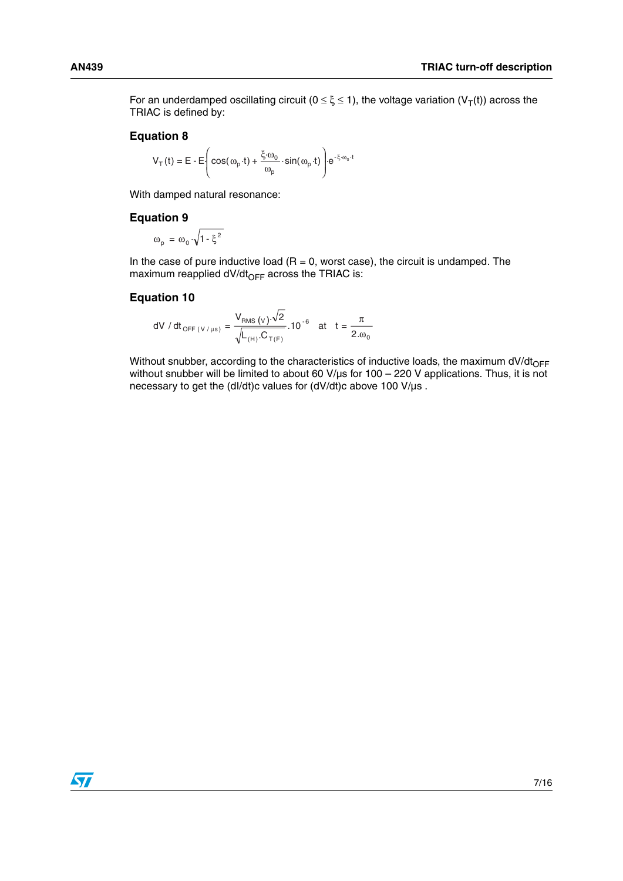For an underdamped oscillating circuit ( $0 \le \xi \le 1$ ), the voltage variation (V<sub>T</sub>(t)) across the TRIAC is defined by:

#### **Equation 8**

$$
V_{T}(t) = E - E \left( \cos(\omega_{p} \cdot t) + \frac{\xi \cdot \omega_{0}}{\omega_{p}} \cdot \sin(\omega_{p} \cdot t) \right) e^{-\xi \cdot \omega_{0} \cdot t}
$$

With damped natural resonance:

#### **Equation 9**

$$
\omega_{\rm p} = \omega_0 \cdot \sqrt{1 - \xi^2}
$$

In the case of pure inductive load  $(R = 0$ , worst case), the circuit is undamped. The maximum reapplied dV/dt $_{\text{OFF}}$  across the TRIAC is:

#### **Equation 10**

dV / dt<sub>OFF (V/µs)</sub> = 
$$
\frac{V_{RMS} (v) \cdot \sqrt{2}}{\sqrt{L_{(H)} C_{T(F)}}}
$$
. 10<sup>-6</sup> at t =  $\frac{\pi}{2. \omega_0}$ 

Without snubber, according to the characteristics of inductive loads, the maximum dV/dt $_{\sf OFF}$ without snubber will be limited to about 60 V/µs for 100 – 220 V applications. Thus, it is not necessary to get the (dI/dt)c values for (dV/dt)c above 100 V/µs .

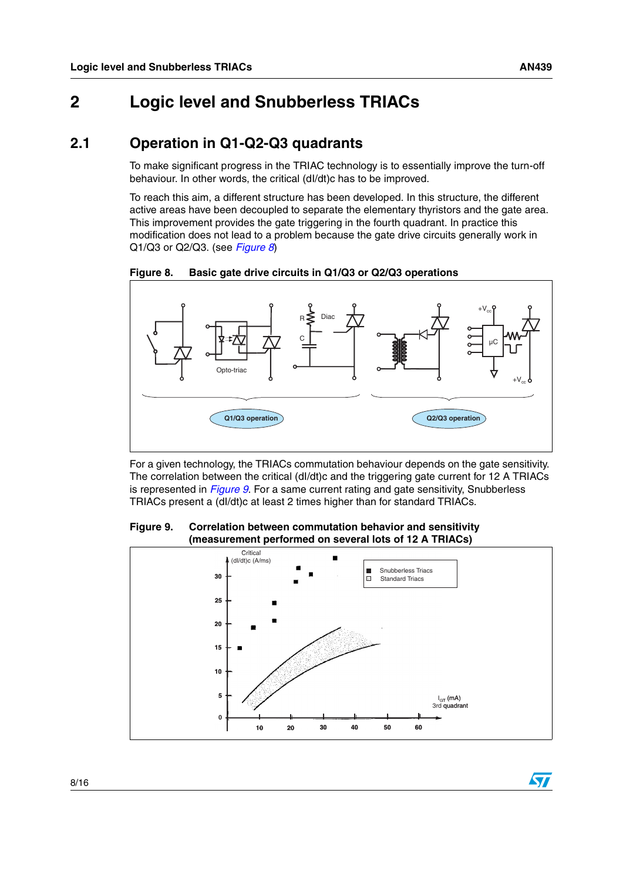### <span id="page-7-0"></span>**2 Logic level and Snubberless TRIACs**

### <span id="page-7-1"></span>**2.1 Operation in Q1-Q2-Q3 quadrants**

To make significant progress in the TRIAC technology is to essentially improve the turn-off behaviour. In other words, the critical (dI/dt)c has to be improved.

To reach this aim, a different structure has been developed. In this structure, the different active areas have been decoupled to separate the elementary thyristors and the gate area. This improvement provides the gate triggering in the fourth quadrant. In practice this modification does not lead to a problem because the gate drive circuits generally work in Q1/Q3 or Q2/Q3. (see *[Figure 8](#page-7-2)*)

<span id="page-7-2"></span>**Figure 8. Basic gate drive circuits in Q1/Q3 or Q2/Q3 operations**



For a given technology, the TRIACs commutation behaviour depends on the gate sensitivity. The correlation between the critical (dl/dt)c and the triggering gate current for 12 A TRIACs is represented in *[Figure 9](#page-7-3)*. For a same current rating and gate sensitivity, Snubberless TRIACs present a (dI/dt)c at least 2 times higher than for standard TRIACs.

<span id="page-7-3"></span>**Figure 9. Correlation between commutation behavior and sensitivity (measurement performed on several lots of 12 A TRIACs)**



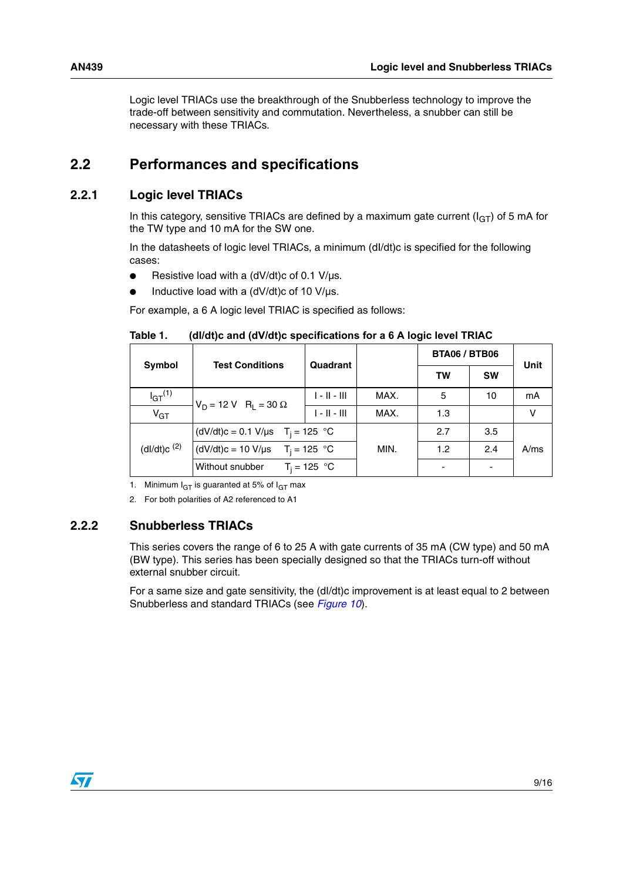Logic level TRIACs use the breakthrough of the Snubberless technology to improve the trade-off between sensitivity and commutation. Nevertheless, a snubber can still be necessary with these TRIACs.

### <span id="page-8-0"></span>**2.2 Performances and specifications**

### <span id="page-8-1"></span>**2.2.1 Logic level TRIACs**

In this category, sensitive TRIACs are defined by a maximum gate current  $(I_{GT})$  of 5 mA for the TW type and 10 mA for the SW one.

In the datasheets of logic level TRIACs, a minimum (dI/dt)c is specified for the following cases:

- $\bullet$  Resistive load with a (dV/dt)c of 0.1 V/us.
- Inductive load with a  $(dV/dt)c$  of 10 V/ $\mu$ s.

For example, a 6 A logic level TRIAC is specified as follows:

Table 1. **Table 1. (dI/dt)c and (dV/dt)c specifications for a 6 A logic level TRIAC**

|                | <b>Test Conditions</b>             | Quadrant       |      | <b>BTA06 / BTB06</b> |           | Unit |
|----------------|------------------------------------|----------------|------|----------------------|-----------|------|
| Symbol         |                                    |                |      | <b>TW</b>            | <b>SW</b> |      |
| $I_{GT}^{(1)}$ | $V_D = 12 V R_L = 30 \Omega$       | $1 - 11 - 111$ | MAX. | 5                    | 10        | mA   |
| $V_{GT}$       |                                    | $1 - 11 - 111$ | MAX. | 1.3                  |           | ν    |
|                | (dV/dt)c = 0.1 V/µs $T_i = 125$ °C |                |      | 2.7                  | 3.5       |      |
| (dl/dt)c $(2)$ | (dV/dt)c = 10 V/µs $T_i = 125$ °C  | MIN.           | 1.2  | 2.4                  | A/ms      |      |
|                | Without snubber<br>$T_i = 125 °C$  |                | -    |                      |           |      |

1. Minimum  $I_{GT}$  is guaranted at 5% of  $I_{GT}$  max

2. For both polarities of A2 referenced to A1

#### <span id="page-8-2"></span>**2.2.2 Snubberless TRIACs**

This series covers the range of 6 to 25 A with gate currents of 35 mA (CW type) and 50 mA (BW type). This series has been specially designed so that the TRIACs turn-off without external snubber circuit.

For a same size and gate sensitivity, the (dl/dt)c improvement is at least equal to 2 between Snubberless and standard TRIACs (see *[Figure 10](#page-9-0)*).

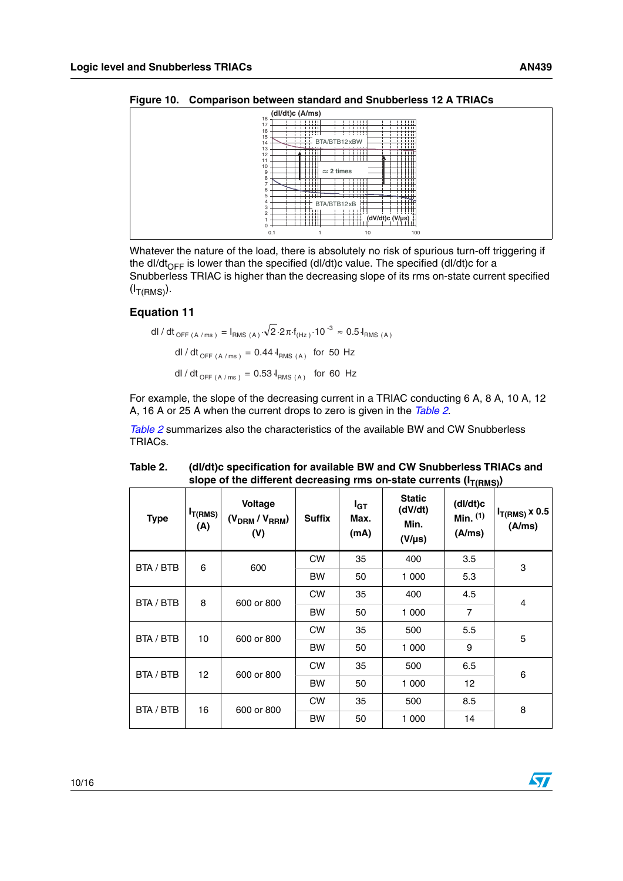<span id="page-9-0"></span>

| $\sim$         |                                              |                                                             |                                            |  |  |  |  |
|----------------|----------------------------------------------|-------------------------------------------------------------|--------------------------------------------|--|--|--|--|
|                | (dl/dt)c (A/ms)                              |                                                             |                                            |  |  |  |  |
| 18<br>17<br>16 | -----<br>THE<br>.<br>-----                   | -----<br>THE<br>.<br>-------<br>÷<br>- 2                    | समाप्त<br>THE<br>.<br>:::::                |  |  |  |  |
| 15<br>14       | $+11$                                        | BTA/BTB12 xBW                                               | .<br>.<br>.<br>.<br>.                      |  |  |  |  |
| 13<br>12       | .<br>-----<br>---<br>-1111                   | $-1$ $-1$ $-1$ $-1$<br>1 I HH<br>-------<br>------          | .<br>___<br>-1100<br>------<br>.<br>-11111 |  |  |  |  |
| 11<br>10       | ---<br>$\frac{1}{\sqrt{2}}$                  | $\approx$ 2 times                                           | <u>man</u><br>------                       |  |  |  |  |
| 9<br>8         | 11111<br>.                                   | - 11                                                        | -----<br>------                            |  |  |  |  |
| 6<br>5         | 1 1 1 1 1 1<br>.<br><b>The Second Second</b> | .<br>.<br>------                                            | <del>.</del><br>.<br>.<br>.<br>.           |  |  |  |  |
| 4<br>3         | .<br>.<br>-17.                               | .<br>╌<br>BTA/BTB12xB<br>ΠŦ                                 | .<br>-11111                                |  |  |  |  |
| 2<br>0         | $\cdots$<br>d d dd dd<br>11HH<br>समाप्त      | <u>m.#</u><br>न न न न<br>$(dV/dt)c (V/\mu s)$<br>TITT.<br>. | 1          <br>÷<br>.                      |  |  |  |  |
| 0.1            |                                              | 10                                                          | 100                                        |  |  |  |  |

Whatever the nature of the load, there is absolutely no risk of spurious turn-off triggering if the dl/dt<sub>OFF</sub> is lower than the specified (dl/dt)c value. The specified (dl/dt)c for a Snubberless TRIAC is higher than the decreasing slope of its rms on-state current specified  $(I_{\mathsf{T}(\mathsf{RMS})}).$ 

#### **Equation 11**

dl / dt<sub>OFF (A /ms)</sub> = I<sub>RMS (A)</sub> 
$$
\sqrt{2.2\pi \cdot f_{(Hz)}} \cdot 10^{-3} \approx 0.5 I_{RMS (A)}
$$
  
dl / dt<sub>OFF (A /ms)</sub> = 0.44 I<sub>RMS (A)</sub> for 50 Hz  
dl / dt<sub>OFF (A /ms)</sub> = 0.53 I<sub>RMS (A)</sub> for 60 Hz

For example, the slope of the decreasing current in a TRIAC conducting 6 A, 8 A, 10 A, 12 A, 16 A or 25 A when the current drops to zero is given in the *[Table 2](#page-9-1)*.

*[Table 2](#page-9-1)* summarizes also the characteristics of the available BW and CW Snubberless TRIACs.

| <b>Type</b> | $I_{T(RMS)}$<br>(A) | Voltage<br>$(V_{DRM}/V_{RRM})$<br>(V) | <b>Suffix</b> | I <sub>GT</sub><br>Max.<br>(mA) | <b>Static</b><br>(dV/dt)<br>Min.<br>$(V/\mu s)$ | $\sim$ \ $\sim$ \ $\sim$ \ $\sim$ \ $\sim$ \ $\sim$ \ $\sim$<br>(dI/dt)c<br>Min. $(1)$<br>(A/ms) | $I_{T(RMS)}$ x 0.5<br>(A/ms) |   |
|-------------|---------------------|---------------------------------------|---------------|---------------------------------|-------------------------------------------------|--------------------------------------------------------------------------------------------------|------------------------------|---|
| BTA / BTB   | 6                   | 600                                   | <b>CW</b>     | 35                              | 400                                             | 3.5                                                                                              | 3                            |   |
|             |                     |                                       | <b>BW</b>     | 50                              | 1 000                                           | 5.3                                                                                              |                              |   |
| BTA / BTB   | 8                   | 600 or 800                            | <b>CW</b>     | 35                              | 400                                             | 4.5                                                                                              | 4                            |   |
|             |                     |                                       | <b>BW</b>     | 50                              | 1 000                                           | 7                                                                                                |                              |   |
| BTA / BTB   |                     | 10<br>600 or 800                      | <b>CW</b>     | 35                              | 500                                             | 5.5                                                                                              | 5                            |   |
|             |                     |                                       | <b>BW</b>     | 50                              | 1 000                                           | 9                                                                                                |                              |   |
| BTA / BTB   | 12 <sup>2</sup>     |                                       | 600 or 800    | <b>CW</b>                       | 35                                              | 500                                                                                              | 6.5                          | 6 |
|             |                     |                                       | <b>BW</b>     | 50                              | 1 000                                           | 12                                                                                               |                              |   |
| BTA / BTB   | 16                  | 600 or 800                            | <b>CW</b>     | 35                              | 500                                             | 8.5                                                                                              | 8                            |   |
|             |                     |                                       | BW            | 50                              | 1 000                                           | 14                                                                                               |                              |   |

<span id="page-9-1"></span> **Table 2. (dI/dt)c specification for available BW and CW Snubberless TRIACs and**  slope of the different decreasing rms on-state currents ( $I_{\text{T/DMC}}$ )

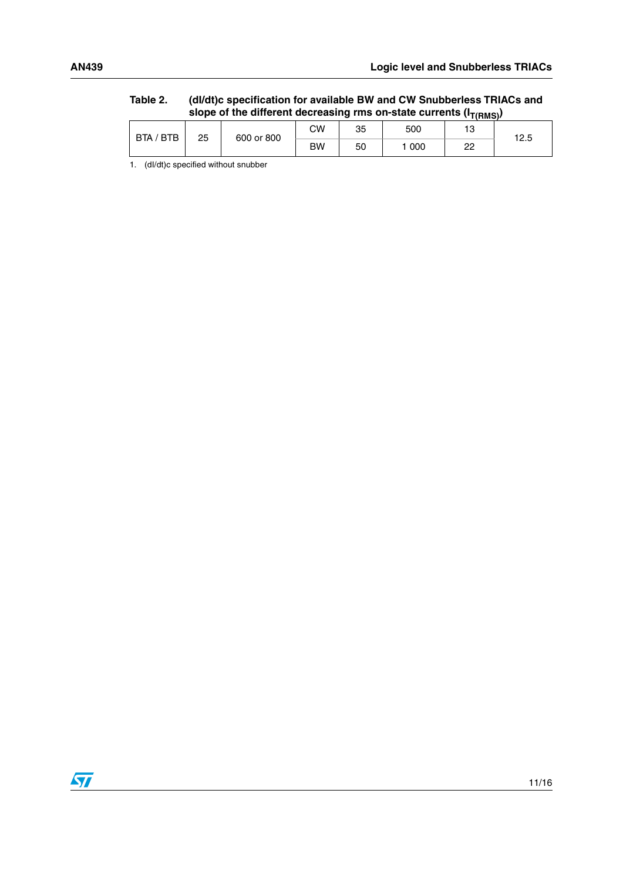|           | slope of the different decreasing rms on-state currents ( $I_{\text{T(RMS)}}$ ) |            |    |    |       |    |      |  |
|-----------|---------------------------------------------------------------------------------|------------|----|----|-------|----|------|--|
| BTA / BTB | 25                                                                              |            | СW | 35 | 500   |    | 12.5 |  |
|           |                                                                                 | 600 or 800 | BW | 50 | 1 000 | つつ |      |  |

**Table 2. (dI/dt)c specification for available BW and CW Snubberless TRIACs and** 

1. (dl/dt)c specified without snubber

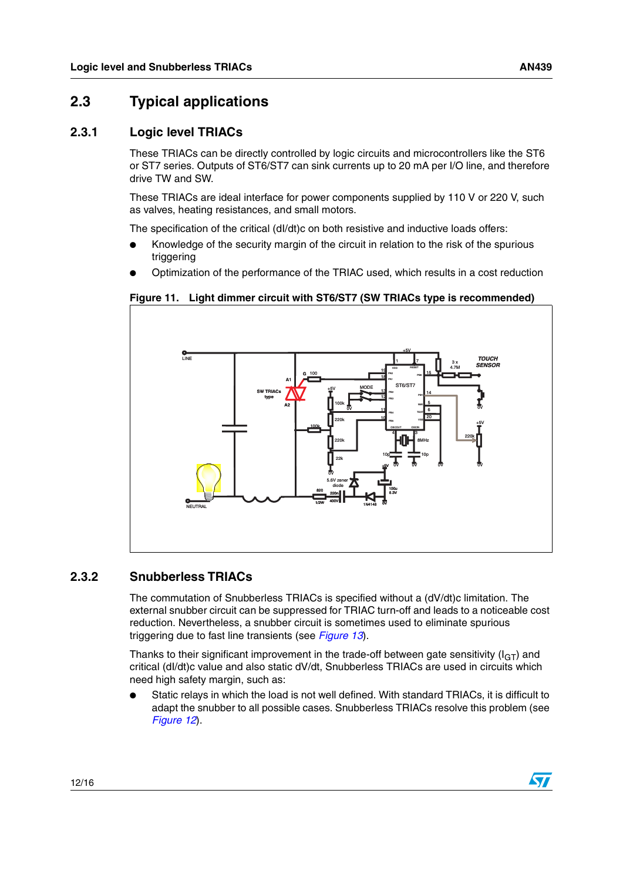$\sqrt{}$ 

### <span id="page-11-0"></span>**2.3 Typical applications**

#### <span id="page-11-1"></span>**2.3.1 Logic level TRIACs**

These TRIACs can be directly controlled by logic circuits and microcontrollers like the ST6 or ST7 series. Outputs of ST6/ST7 can sink currents up to 20 mA per I/O line, and therefore drive TW and SW.

These TRIACs are ideal interface for power components supplied by 110 V or 220 V, such as valves, heating resistances, and small motors.

The specification of the critical (dI/dt)c on both resistive and inductive loads offers:

- Knowledge of the security margin of the circuit in relation to the risk of the spurious triggering
- Optimization of the performance of the TRIAC used, which results in a cost reduction





#### <span id="page-11-2"></span>**2.3.2 Snubberless TRIACs**

The commutation of Snubberless TRIACs is specified without a (dV/dt)c limitation. The external snubber circuit can be suppressed for TRIAC turn-off and leads to a noticeable cost reduction. Nevertheless, a snubber circuit is sometimes used to eliminate spurious triggering due to fast line transients (see *[Figure 13](#page-12-0)*).

Thanks to their significant improvement in the trade-off between gate sensitivity  $(I_{GT})$  and critical (dI/dt)c value and also static dV/dt, Snubberless TRIACs are used in circuits which need high safety margin, such as:

Static relays in which the load is not well defined. With standard TRIACs, it is difficult to adapt the snubber to all possible cases. Snubberless TRIACs resolve this problem (see *[Figure 12](#page-12-1)*).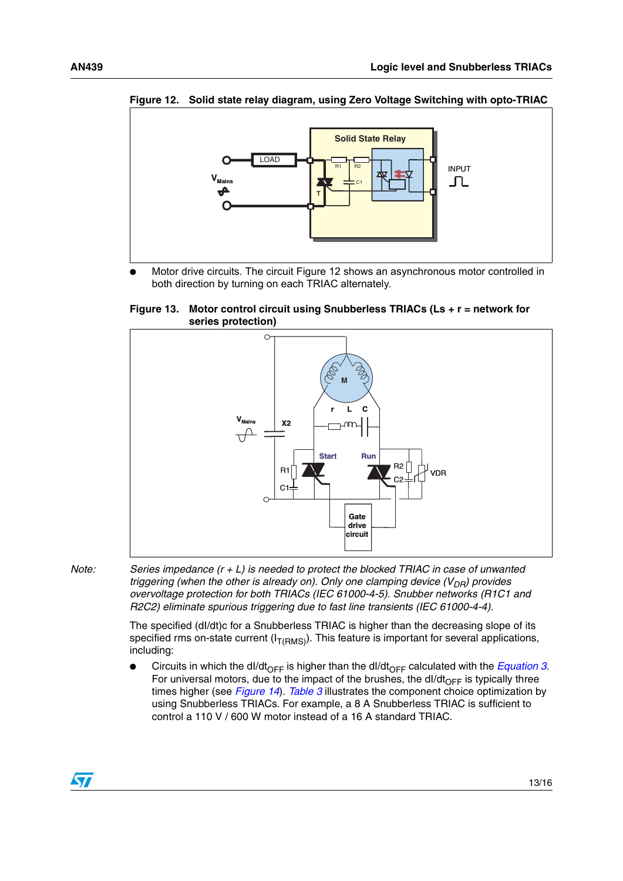

<span id="page-12-1"></span>**Figure 12. Solid state relay diagram, using Zero Voltage Switching with opto-TRIAC**

Motor drive circuits. The circuit Figure 12 shows an asynchronous motor controlled in both direction by turning on each TRIAC alternately.

<span id="page-12-0"></span>**Figure 13. Motor control circuit using Snubberless TRIACs (Ls + r = network for series protection)**



*Note: Series impedance (r + L) is needed to protect the blocked TRIAC in case of unwanted triggering (when the other is already on). Only one clamping device*  $(V_{DR})$  *provides overvoltage protection for both TRIACs (IEC 61000-4-5). Snubber networks (R1C1 and R2C2) eliminate spurious triggering due to fast line transients (IEC 61000-4-4).*

> The specified (dI/dt)c for a Snubberless TRIAC is higher than the decreasing slope of its specified rms on-state current ( $I_{T(RMS)}$ ). This feature is important for several applications, including:

Circuits in which the dI/dt<sub>OFF</sub> is higher than the dI/dt<sub>OFF</sub> calculated with the *[Equation 3](#page-3-3)*. For universal motors, due to the impact of the brushes, the dl/dt<sub>OFF</sub> is typically three times higher (see *[Figure 14](#page-13-0)*). *[Table 3](#page-13-1)* illustrates the component choice optimization by using Snubberless TRIACs. For example, a 8 A Snubberless TRIAC is sufficient to control a 110 V / 600 W motor instead of a 16 A standard TRIAC.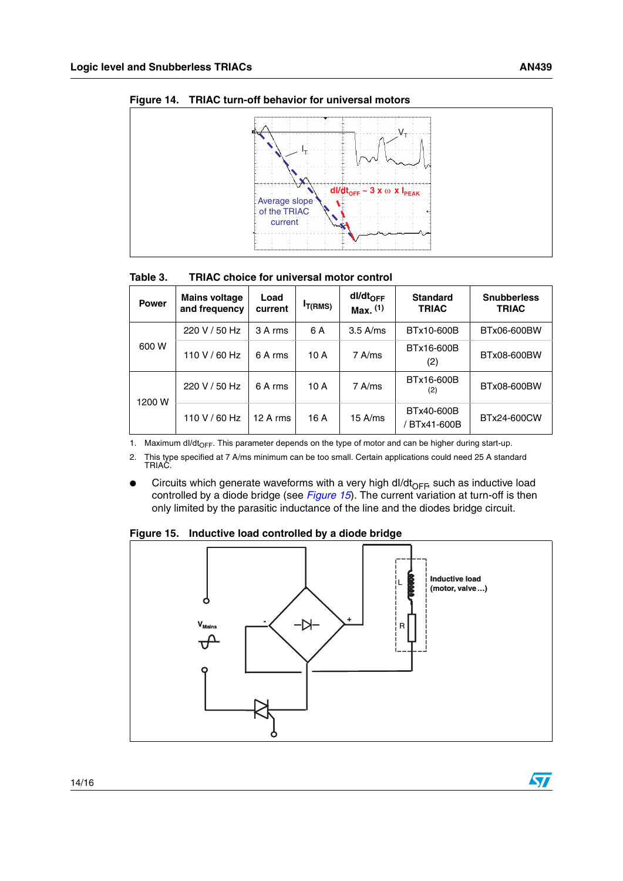

<span id="page-13-0"></span>**Figure 14. TRIAC turn-off behavior for universal motors**

#### <span id="page-13-1"></span>Table 3. **Table 3. TRIAC choice for universal motor control**

| <b>Power</b> | <b>Mains voltage</b><br>and frequency | Load<br>current | <sup>I</sup> T(RMS) | dl/dt <sub>OFF</sub><br>$Max.$ $(1)$ | <b>Standard</b><br><b>TRIAC</b> | <b>Snubberless</b><br><b>TRIAC</b> |
|--------------|---------------------------------------|-----------------|---------------------|--------------------------------------|---------------------------------|------------------------------------|
|              | 220 V / 50 Hz                         | 3 A rms         | 6 A                 | $3.5$ A/ms                           | BTx10-600B                      | BTx06-600BW                        |
| 600 W        | 110 V / 60 Hz                         | 6 A rms         | 10 A                | 7 A/ms                               | BTx16-600B<br>(2)               | BTx08-600BW                        |
| 1200 W       | 220 V / 50 Hz                         | 6 A rms         | 10 A                | 7 A/ms                               | BTx16-600B<br>(2)               | BTx08-600BW                        |
|              | 110 V / 60 Hz                         | 12Arms          | 16 A                | $15$ A/ms                            | BTx40-600B<br>BTx41-600B        | BTx24-600CW                        |

1. Maximum dl/dt<sub>OFF</sub>. This parameter depends on the type of motor and can be higher during start-up.

2. This type specified at 7 A/ms minimum can be too small. Certain applications could need 25 A standard TRIAC.

Circuits which generate waveforms with a very high dl/dt<sub>OFF</sub>, such as inductive load controlled by a diode bridge (see *[Figure 15](#page-13-2)*). The current variation at turn-off is then only limited by the parasitic inductance of the line and the diodes bridge circuit.

<span id="page-13-2"></span>**Figure 15. Inductive load controlled by a diode bridge**



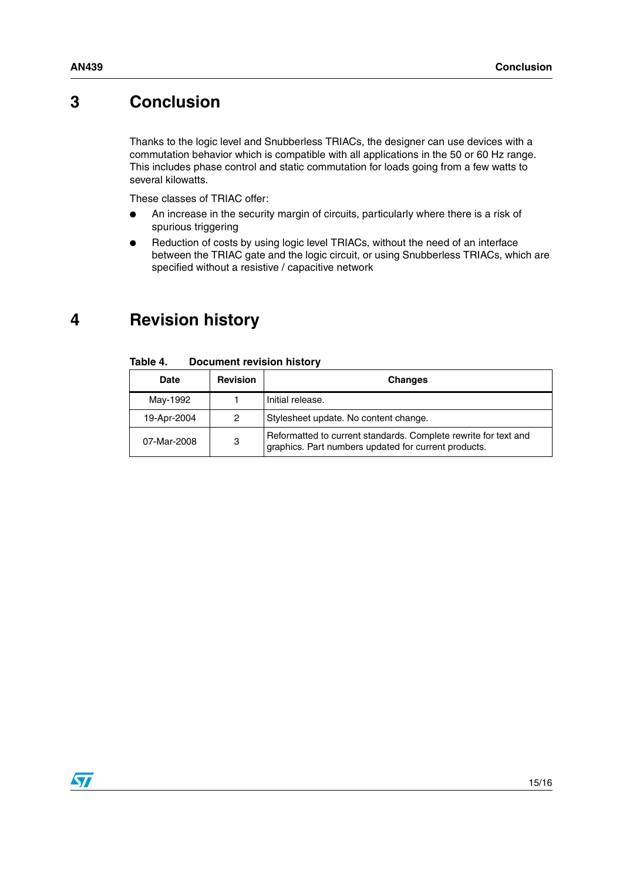### <span id="page-14-0"></span>**3 Conclusion**

Thanks to the logic level and Snubberless TRIACs, the designer can use devices with a commutation behavior which is compatible with all applications in the 50 or 60 Hz range. This includes phase control and static commutation for loads going from a few watts to several kilowatts.

These classes of TRIAC offer:

- An increase in the security margin of circuits, particularly where there is a risk of spurious triggering
- Reduction of costs by using logic level TRIACs, without the need of an interface between the TRIAC gate and the logic circuit, or using Snubberless TRIACs, which are specified without a resistive / capacitive network

# <span id="page-14-1"></span>**4 Revision history**

| <b>Date</b>      | <b>Revision</b> | <b>Changes</b>                                                                                                          |
|------------------|-----------------|-------------------------------------------------------------------------------------------------------------------------|
| May-1992         |                 | Initial release.                                                                                                        |
| 19-Apr-2004      |                 | Stylesheet update. No content change.                                                                                   |
| 3<br>07-Mar-2008 |                 | Reformatted to current standards. Complete rewrite for text and<br>graphics. Part numbers updated for current products. |

#### Table 4. **Document revision history**